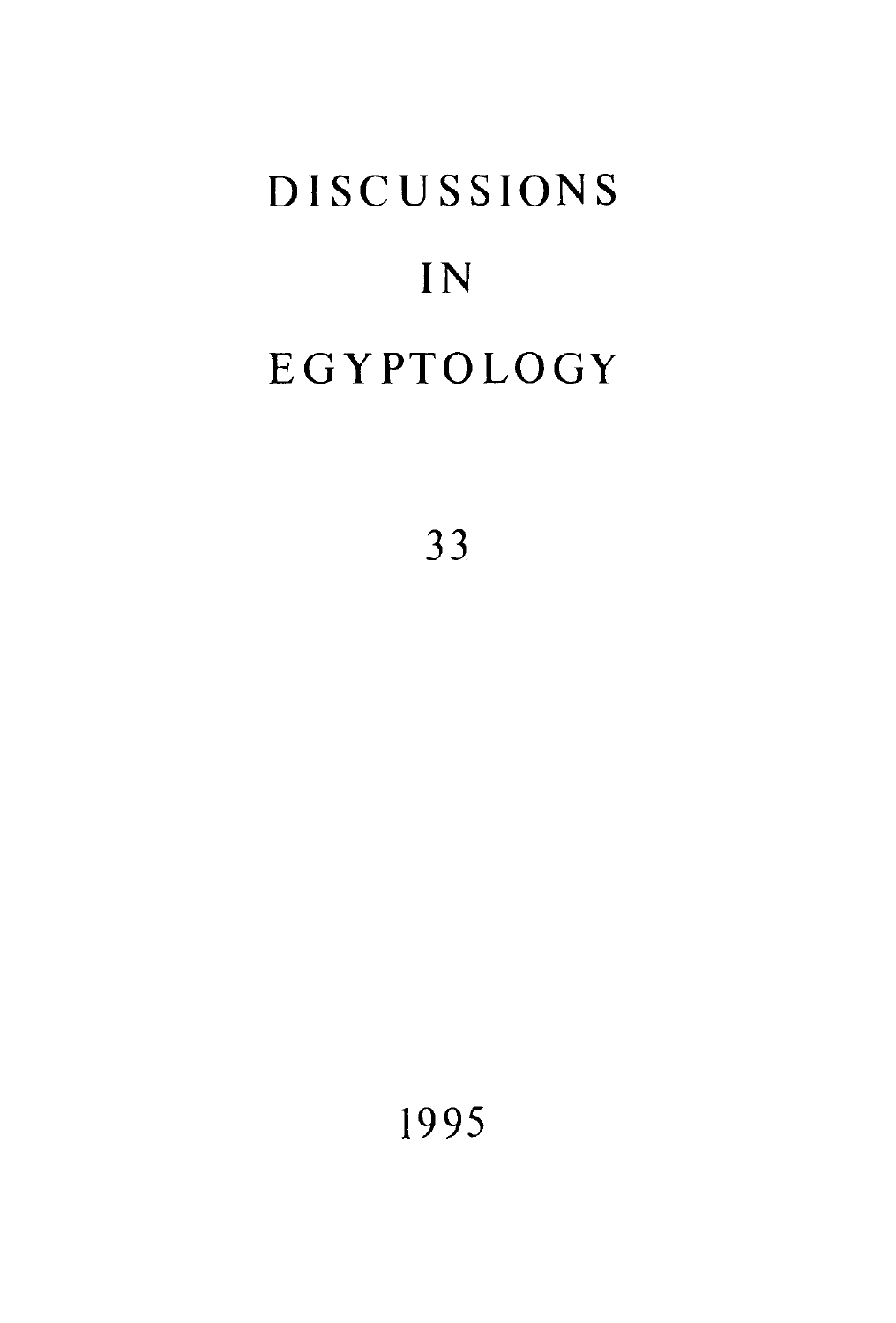# **DISCUSSIONS** IN EGYPTOLOGY

33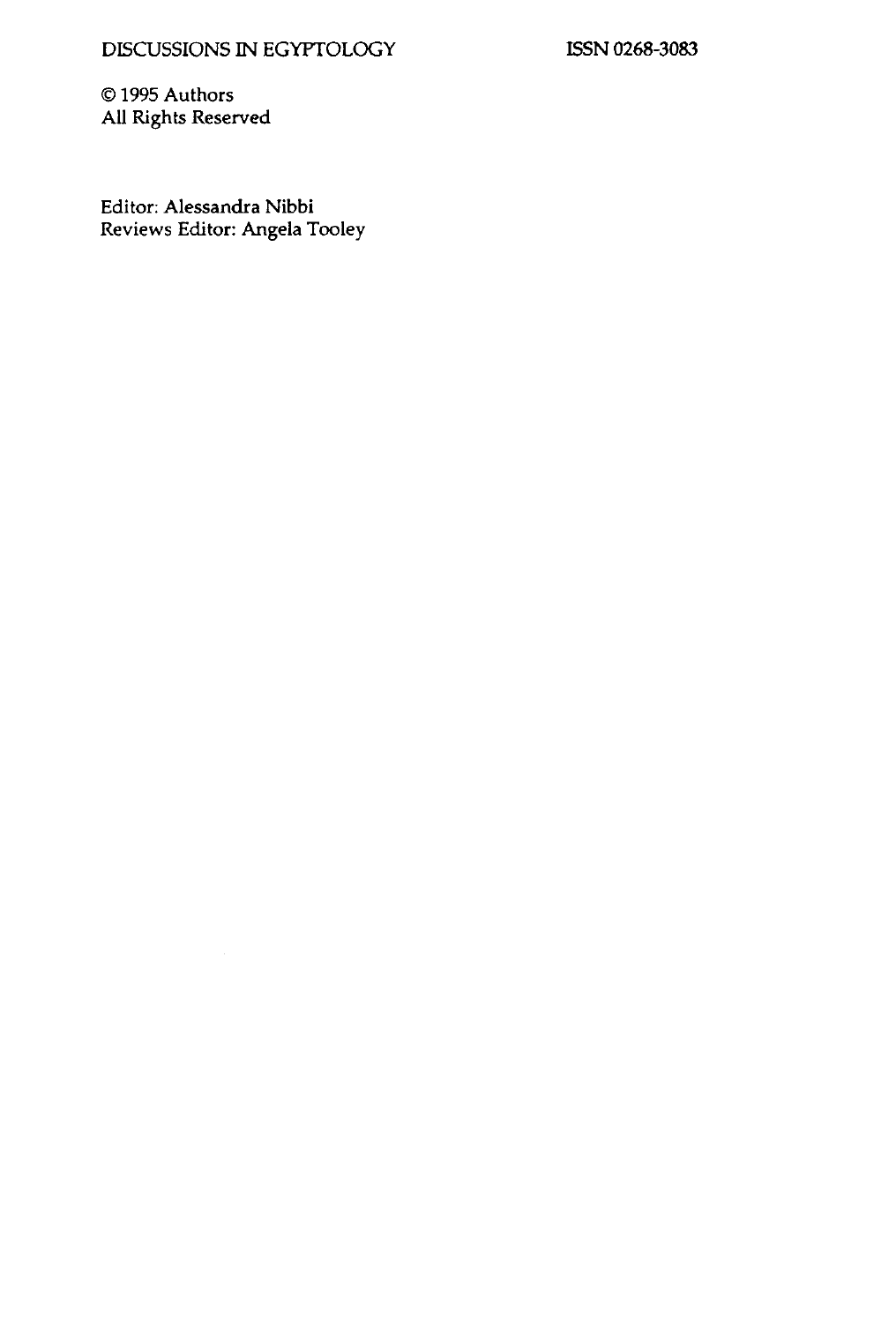ISSN 0268-3083

© 1995 Authors All Rights Reserved

Editor: Alessandra Nibbi Reviews Editor: Angela Tooley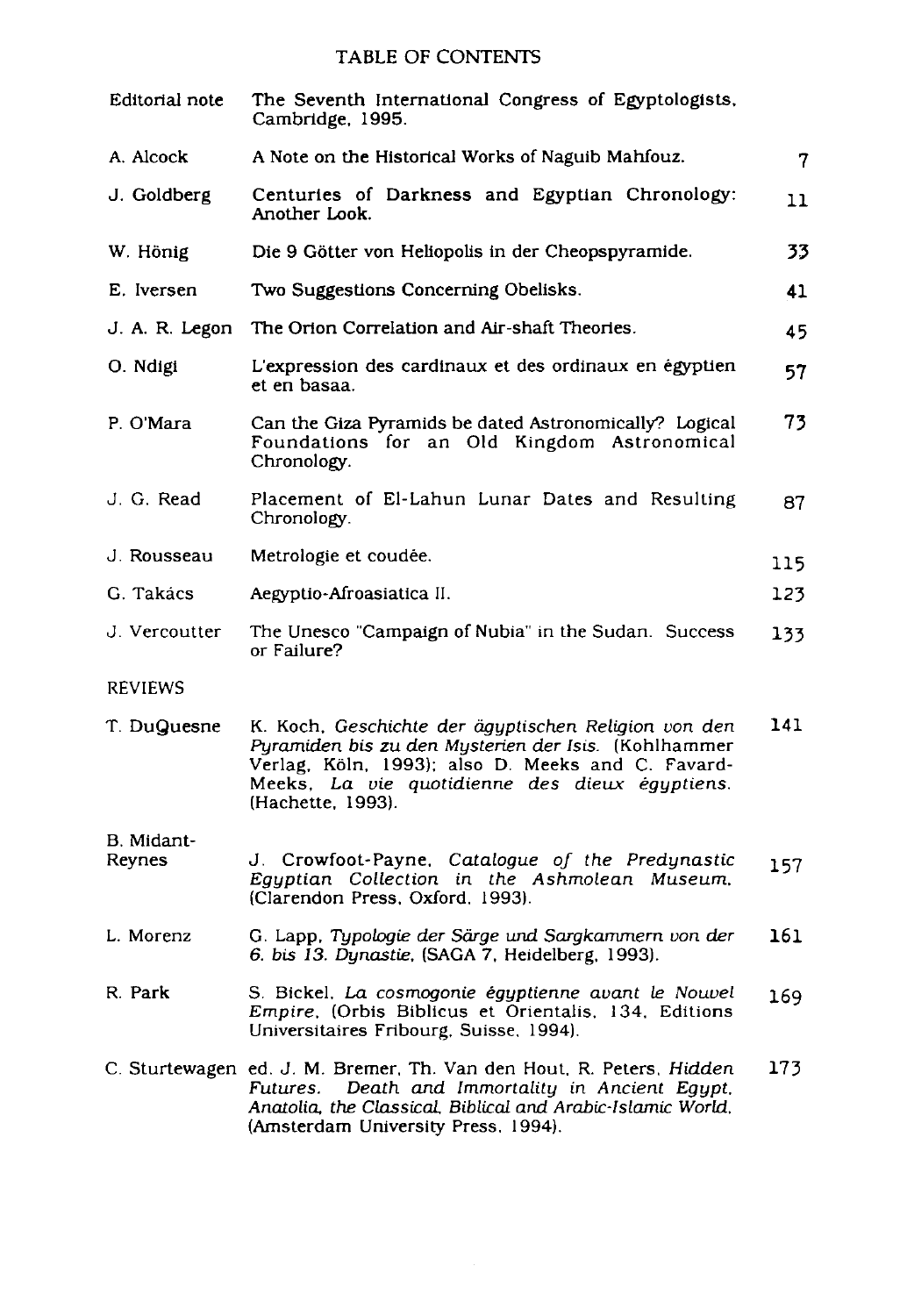## TABLE OF CONTENTS

| Editorial note       | The Seventh International Congress of Egyptologists,<br>Cambridge, 1995.                                                                                                                                                                 |     |
|----------------------|------------------------------------------------------------------------------------------------------------------------------------------------------------------------------------------------------------------------------------------|-----|
| A. Alcock            | A Note on the Historical Works of Naguib Mahfouz.                                                                                                                                                                                        | 7   |
| J. Goldberg          | Centuries of Darkness and Egyptian Chronology:<br>Another Look.                                                                                                                                                                          | 11  |
| W. Hönig             | Die 9 Götter von Heliopolis in der Cheopspyramide.                                                                                                                                                                                       | 33  |
| E. Iversen           | Two Suggestions Concerning Obelisks.                                                                                                                                                                                                     | 41  |
| J. A. R. Legon       | The Orion Correlation and Air-shaft Theories.                                                                                                                                                                                            | 45  |
| O. Ndigi             | L'expression des cardinaux et des ordinaux en égyptien<br>et en basaa.                                                                                                                                                                   | 57  |
| P. O'Mara            | Can the Giza Pyramids be dated Astronomically? Logical<br>Foundations for an Old Kingdom Astronomical<br>Chronology.                                                                                                                     | 73  |
| J. G. Read           | Placement of El-Lahun Lunar Dates and Resulting<br>Chronology.                                                                                                                                                                           | 87  |
| J. Rousseau          | Metrologie et coudée.                                                                                                                                                                                                                    | 115 |
| G. Takács            | Aegyptio-Afroasiatica II.                                                                                                                                                                                                                | 123 |
| J. Vercoutter        | The Unesco "Campaign of Nubia" in the Sudan. Success<br>or Failure?                                                                                                                                                                      | 133 |
| <b>REVIEWS</b>       |                                                                                                                                                                                                                                          |     |
| T. DuQuesne          | K. Koch, Geschichte der ägyptischen Religion von den<br>Pyramiden bis zu den Mysterien der Isis. (Kohlhammer<br>Verlag, Köln, 1993); also D. Meeks and C. Favard-<br>Meeks, La vie quotidienne des dieux égyptiens.<br>(Hachette, 1993). | 141 |
| B. Midant-<br>Reynes | J. Crowfoot-Payne, Catalogue of the Predynastic<br>Egyptian Collection in the Ashmolean Museum,<br>(Clarendon Press, Oxford, 1993).                                                                                                      | 157 |
| L. Morenz            | G. Lapp, Typologie der Särge und Sargkammern von der<br>6. bis 13. Dynastie, (SAGA 7, Heidelberg, 1993).                                                                                                                                 | 161 |
| R. Park              | S. Bickel, La cosmogonie égyptienne avant le Nouvel<br>Empire, (Orbis Biblicus et Orientalis, 134, Editions<br>Universitaires Fribourg, Suisse, 1994).                                                                                   | 169 |
|                      | C. Sturtewagen ed. J. M. Bremer, Th. Van den Hout, R. Peters, Hidden<br>Death and Immortality in Ancient Equpt,<br>Futures.<br>Anatolia, the Classical, Biblical and Arabic-Islamic World,<br>(Amsterdam University Press, 1994).        | 173 |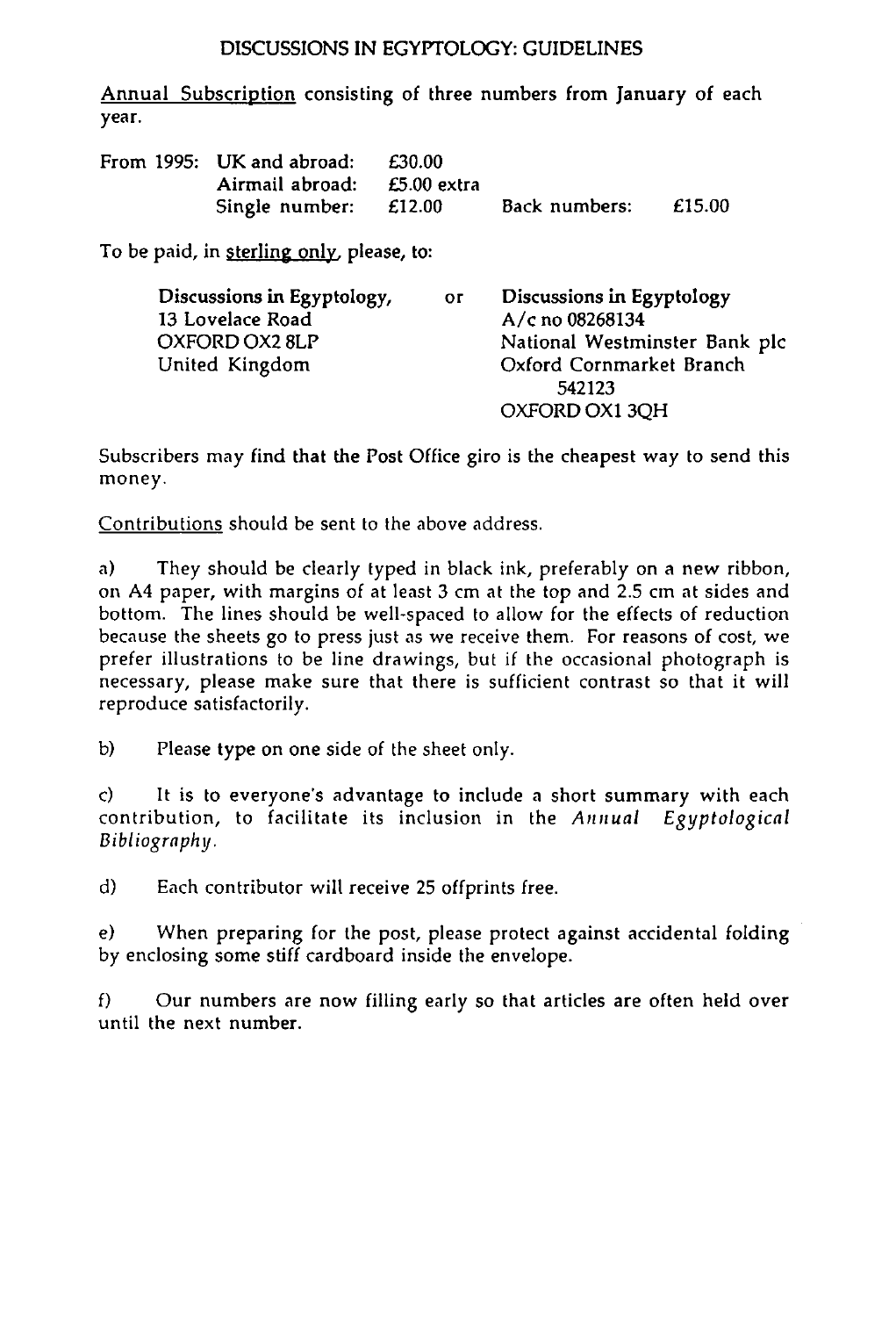### DISCUSSIONS IN EGYPTOLOGY: GUIDELINES

Annual Subscription consisting of three numbers from January of each year.

| From 1995: UK and abroad:   | £30.00 |               |        |
|-----------------------------|--------|---------------|--------|
| Airmail abroad: £5.00 extra |        |               |        |
| Single number: $£12.00$     |        | Back numbers: | £15.00 |

To be paid, in sterling only, please, to:

| Discussions in Egyptology, | <b>OF</b> | Discussions in Egyptology     |
|----------------------------|-----------|-------------------------------|
| 13 Lovelace Road           |           | A/c no 08268134               |
| OXFORD OX2 8LP             |           | National Westminster Bank plc |
| United Kingdom             |           | Oxford Cornmarket Branch      |
|                            |           | 542123                        |
|                            |           | OXFORD OX1 3OH                |

Subscribers may find that the Post Office giro is the cheapest way to send this money.

Contributions should be sent to the above address.

a) They should be clearly typed in black ink, preferably on a new ribbon, on A4 paper, with margins of at least 3 cm at the top and 2.5 cm at sides and bottom. The lines should be well-spaced to allow for the effects of reduction because the sheets go to press just as we receive them. For reasons of cost, we prefer illustrations to be line drawings, but if the occasional photograph is necessary, please make sure that there is sufficient contrast so that it will reproduce satisfactorily.

b) Please type on one side of the sheet only.

c) It is to everyone's advantage to include a short summary with each contribution, to facilitate its inclusion in the *Annual Egyptological Bibliography.* 

d) Each contributor will receive 25 offprints free.

e) When preparing for the post, please protect against accidental folding by enclosing some stiff cardboard inside the envelope.

f) Our numbers are now filling early so that articles are often held over until the next number.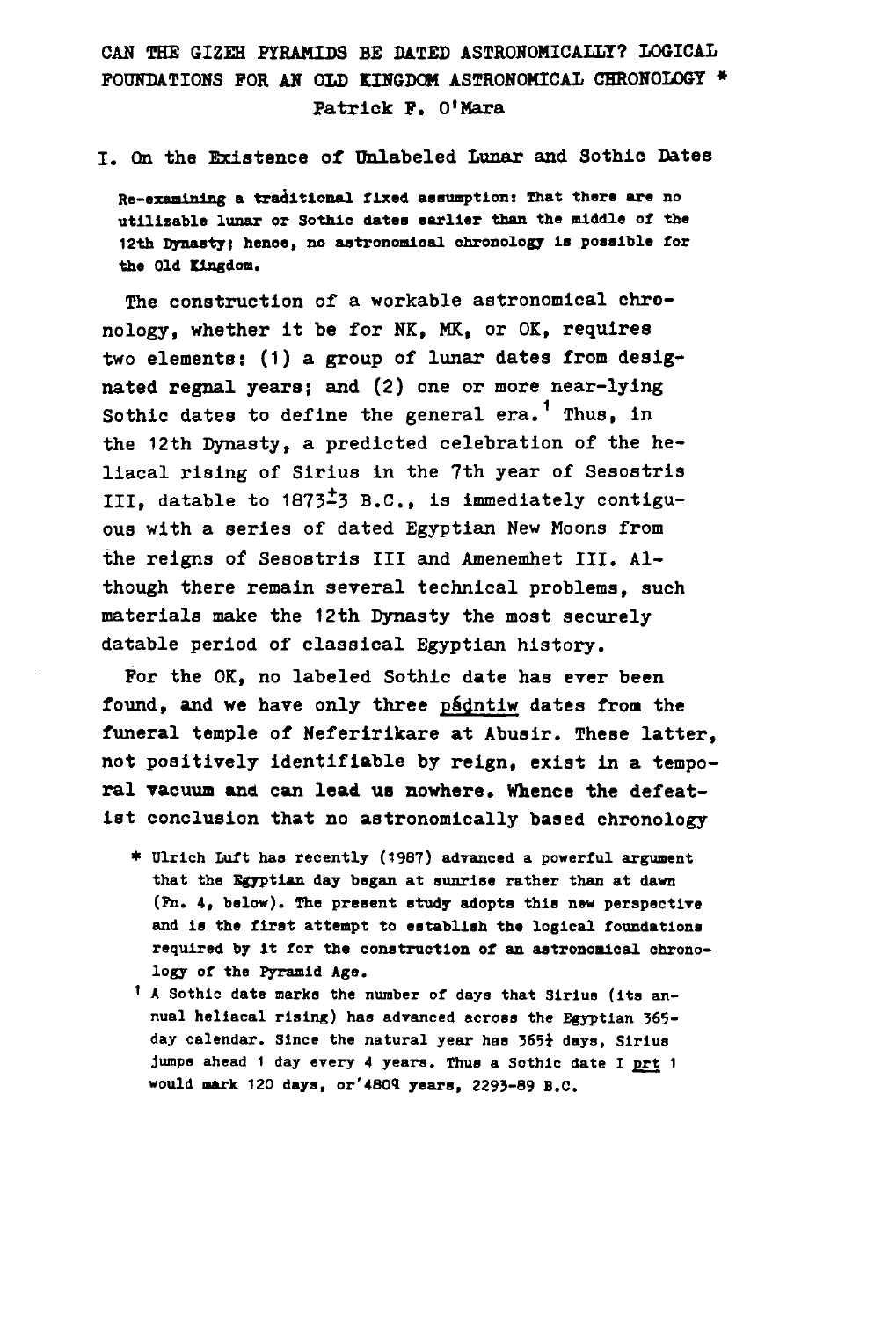## CAN THE SIZEH PYRAMIDS BE DATED ASTRONOMICALLY? LOGICAL FOUNDATIONS FOR AN OLD KINGDOM ASTRONOMICAL CHRONOLOGY » Patrick F. O'Mara

#### I. On the Existence of Unlabeled Lunar and Sothie Dates

**Re-examining a traditional fixed assumption: That there are no utilizable lunar or Sothic dates earlier than the middle of the 12th Dynasty; hence, no astronomical chronology is possible for the Old Kingdom.** 

The construction of a workable astronomical chronology, whether it be for NK, MK, or OK, requires two elements: (1) a group of lunar dates from designated regnal years; and (2) one or more near-lying Sothic dates to define the general  $era.^1$  Thus, in the 12th Dynasty, a predicted celebration of the heliacal rising of Sirius in the 7th year of Sesostris III, datable to 1873-3 B.C., is immediately contiguous with a series of dated Egyptian New Moons from the reigns of Sesostris III and Amenemhet III. Although there remain several technical problems, such materials make the 12th Dynasty the most securely datable period of classical Egyptian history.

For the OK, no labeled Sothic date haa ever been found, and we have only three psdntiw dates from the funeral temple of Neferirikare at Abusir. These latter, not positively identifiable by reign, exist in a temporal vacuum and can lead us nowhere. Whence the defeatist conclusion that no astronomically based chronology

- **\* Ulrlch Luft has recently (1987) advanced a powerful argument that the Egyptian day began at sunrise rather than at dawn (Fn. 4, below). The present study adopts this new perspective and is the first attempt to establish the logical foundations required by it for the construction of an astronomical chronology of the Pyramid Age.**
- **1 A Sothic date marks the number of days that Sirius (lta annual heliacal rising) has advanced across the Egyptian 365 day calendar. Since the natural year has 365i days, Sirius Jumps ahead 1 day every 4 years. Thus a Sothic date I prt 1 would mark 120 days, or'4809 years, 2293-89 B.C.**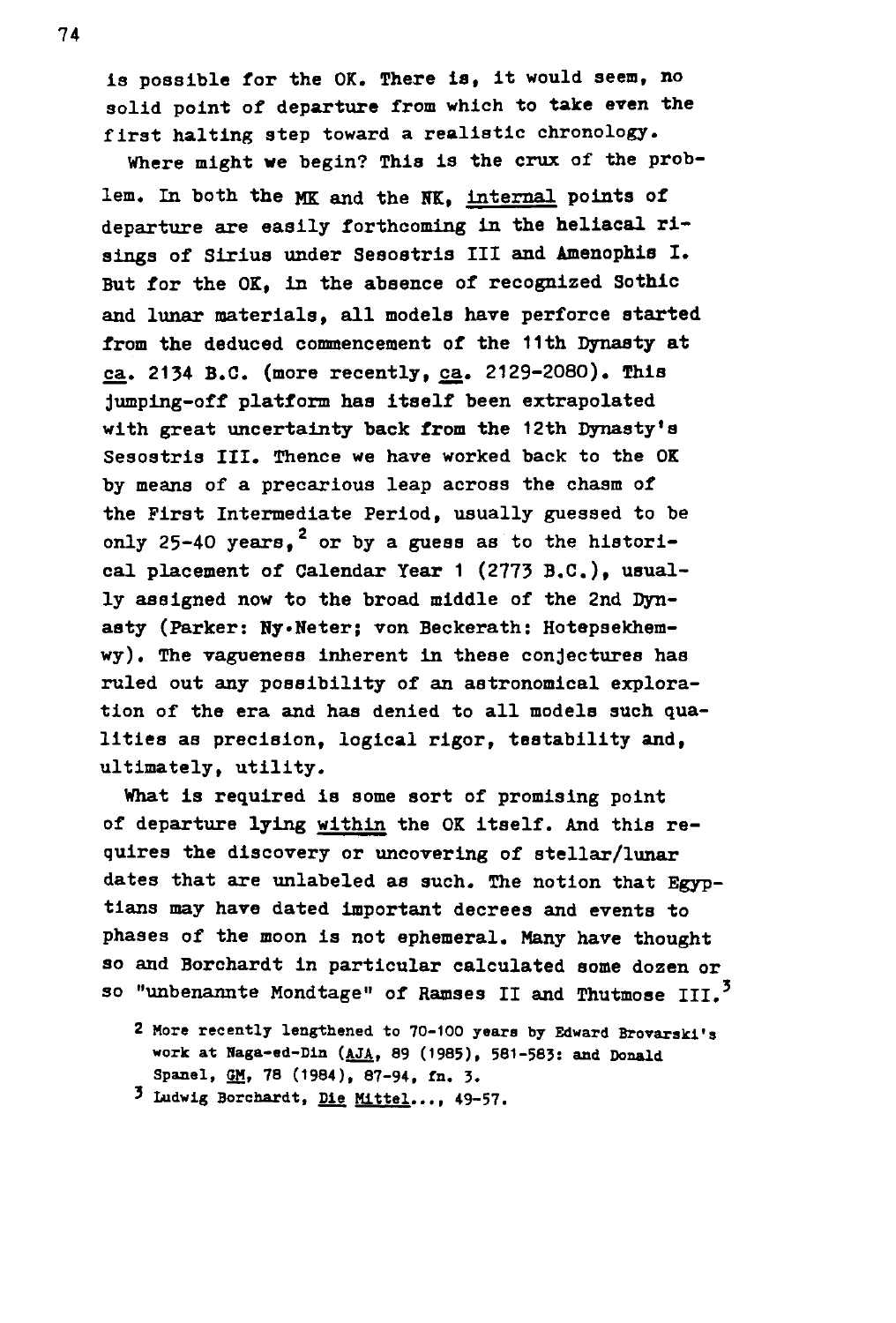is possible for the OK. There is, it would seem, no solid point of departure from which to take even the first halting step toward a realistic chronology. Where might we begin? This is the crux of the prob-

lem. In both the MK and the NK, internal points of departure are easily forthcoming in the heliacal risings of Sirius under Sesostris III and Amenophis I. But for the OK, in the absence of recognized Sothic and lunar materials, all models have perforce started from the deduced commencement of the 11th Dynasty at ca. 2134 B.C. (more recently, ca. 2129-2080). This jumping-off platform has itself been extrapolated with great uncertainty back from the 12th Dynasty's Sesostris III. Thence we have worked back to the OK by means of a precarious leap across the chasm of the First Intermediate Period, usually guessed to be only 25-40 years.<sup>2</sup> or by a guess as to the historical placement of Calendar Year 1 (2773 B.C.), usually assigned now to the broad middle of the 2nd Dynasty (Parker: Hy»Heter; von Beckerath: Hotepsekhemwy). The vagueness inherent in these conjectures has ruled out any possibility of an astronomical exploration of the era and has denied to all models such qualities as precision, logical rigor, testability and, ultimately, utility.

What is required is some sort of promising point of departure lying within the OK itself. And this requires the discovery or uncovering of stellar/lunar dates that are unlabeled as such. The notion that Egyptians may have dated important decrees and events to phases of the moon is not ephemeral. Many have thought so and Borchardt in particular calculated some dozen or so "unbenannte Mondtage" of Ramses II and Thutmose III.<sup>3</sup>

- **2 More recently lengthened to 70-100 years by Edward Brovarskl•s work at Naga-ed-Din (AJA, 89 (1985), 581-583: and Donald Spanel, GM, 78 (1984), 87-94, fn. 3.**
- **3 ludwlg Borchardt, Die Mlttel.... 49-57.**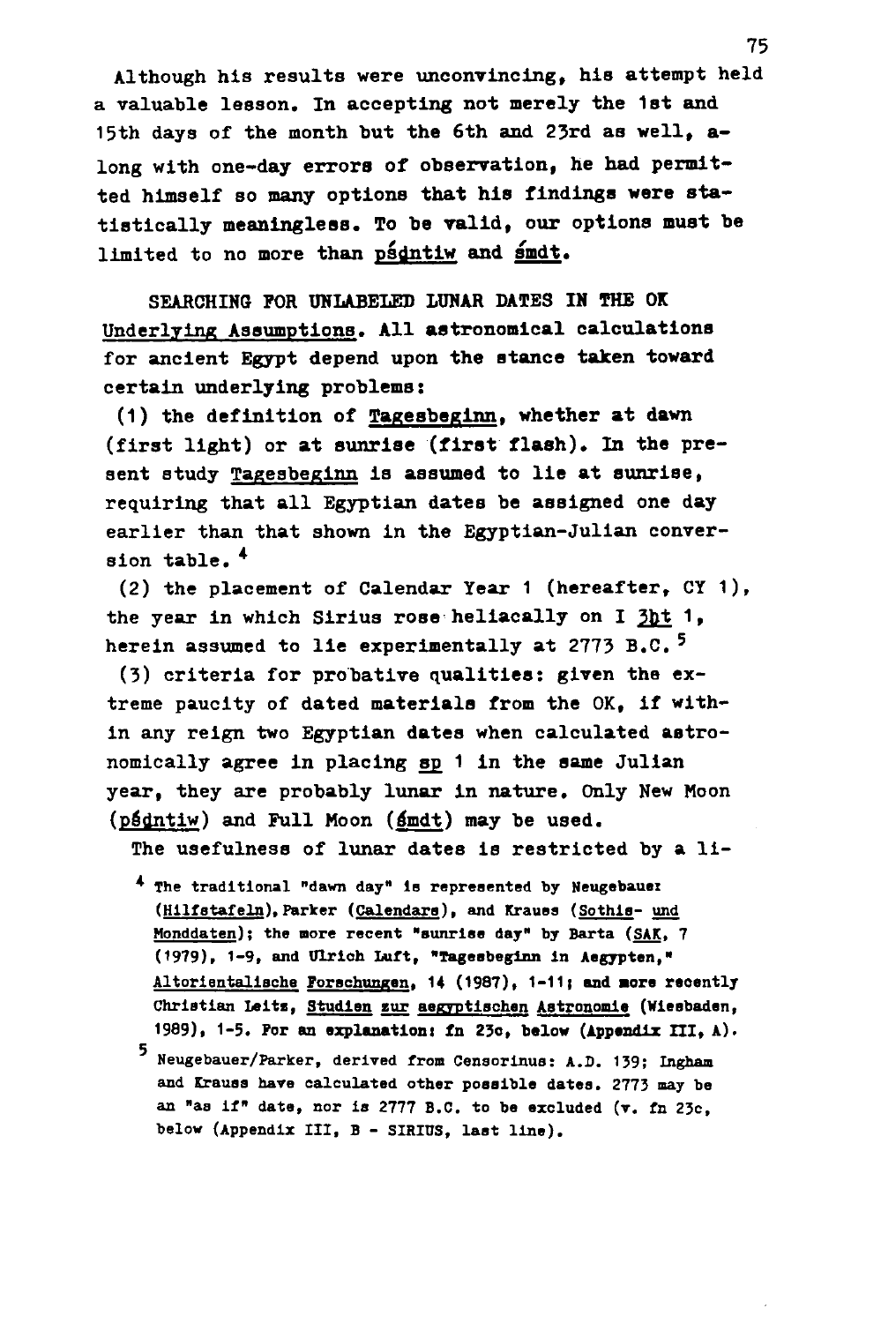Although his results were unconvincing, his attempt held a valuable lesson. In accepting not merely the 1st and 15th days of the month but the 6th and 23rd as well, along with one-day errors of observation, he had permitted himself so many options that his findings were statistically meaningless. To be valid, our options must be limited to no more than psdntiw and smdt.

SEARCHING POR UNLABELED LUNAR DATES IN THE OK Underlying Assumptions. All astronomical calculations for ancient Egypt depend upon the stance taken toward certain underlying problems:

(1) the definition of Tagesbeglnn. whether at dawn (first light) or at sunrise (first flash). In the present study Tagesbeglnn is assumed to lie at sunrise, requiring that all Egyptian dates be assigned one day earlier than that shown in the Egyptian-Julian conversion table.<sup>4</sup>

(2) the placement of Calendar Year 1 (hereafter, CY 1) , the year in which Sirius rose heliacally on I 3ht 1, herein assumed to lie experimentally at 2773 B.C.<sup>5</sup>

(3) criteria for probative qualities: given the extreme paucity of dated materials from the OK, if within any reign two Egyptian dates when calculated astronomically agree in placing sp 1 in the same Julian year, they are probably lunar in nature. Only New Moon (psdntiw) and Full Moon (smdt) may be used.

The usefulness of lunar dates is restricted by a li-

- **\* The traditional "dawn day" Is represented by Neugebauex (Hllfstafeln). Parker (Calendars). and Krauss (Sothis- und Honddaten); the more recent "sunrise day" by Barta (SAK. 7 (1979) , 1 - 9 , and DTrioh Iiuft, "Tagesbeglnn in A e gyp ten,"**  Altorientalische Forschungen, 14 (1987), 1-11; and more recently **Christian Leitz, Studien zur aegrptlschen Astronomle (Wiesbaden, 1989), 1-5. Pur an explanation: in 23o, below (Appendix III, A) .**
- **' Neugebauer/Parker, derived from Censorlnus: A.D. 139; Ingham and Krauss hare calculated other possible dates. 2773 may be an "as if" date, nor is 2777 B.C. to be excluded (T. fn 23c, below (Appendix III, B - SIRIUS, last line).**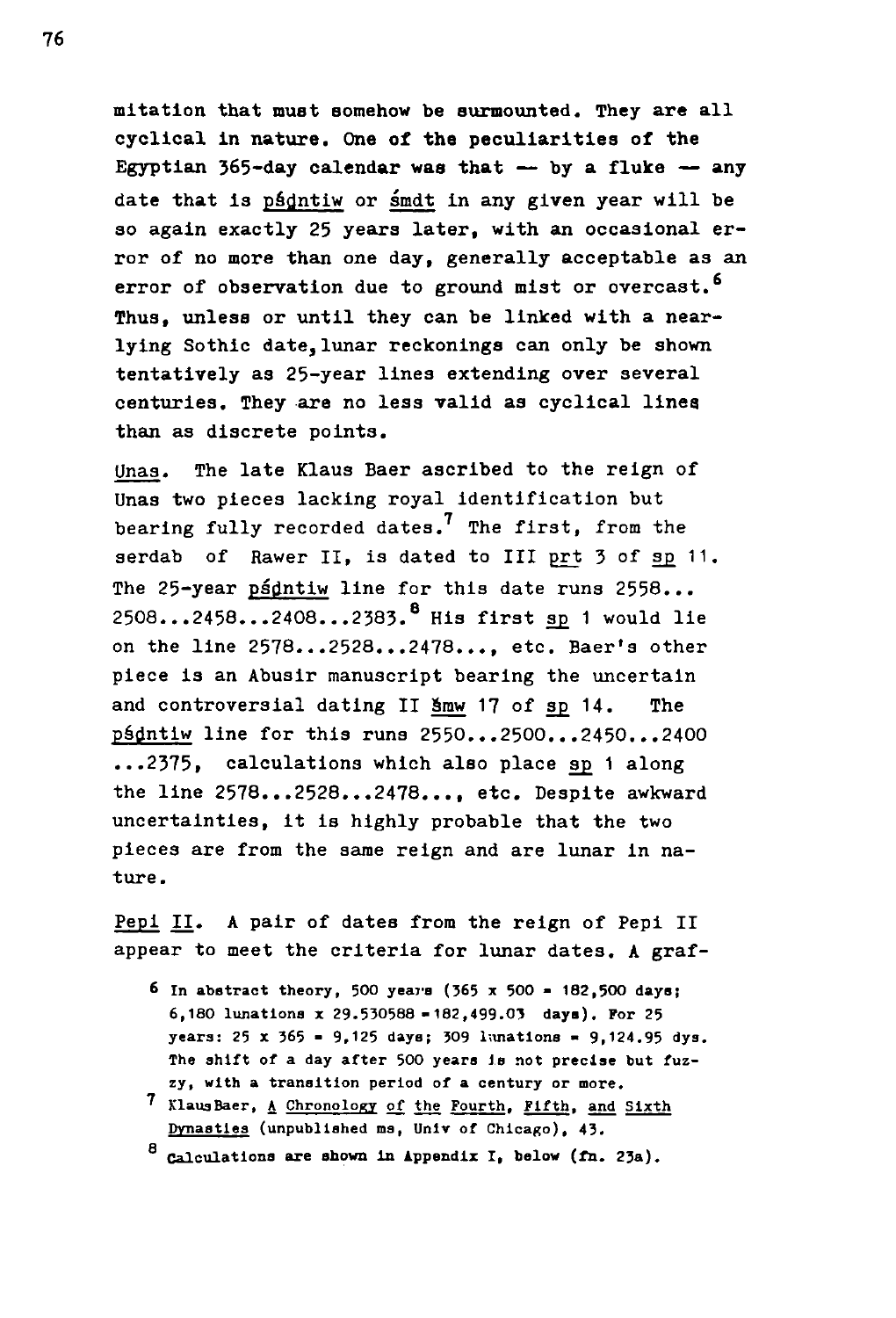mitation that must somehow be surmounted. They are all cyclical In nature. One of the peculiarities of the Egyptian  $365$ -day calendar was that  $-$  by a fluke  $-$  any date that is psdntiw or smdt in any given year will be so again exactly 25 years later, with an occasional error of no more than one day, generally acceptable as an error of observation due to ground mist or overcast.<sup>6</sup> Thus, unless or until they can be linked with a nearlying Sothic date,lunar reckonings can only be shown tentatively as 25-year lines extending over several centuries. They are no less valid as cyclical lines than as discrete points.

Unas. The late Klaus Baer ascribed to the reign of **Una3** two pieces lacking royal identification but bearing fully recorded dates.<sup>7</sup> The first, from the serdab of Rawer II, is dated to III prt 3 of sp 11. The 25-year psdntiw line for this date runs 2558... 2508...2458...2408...2383.8 His first sp. 1 would lie on the line 2578...2528...2478..., etc. Baer's other piece is an Abusir manuscript bearing the uncertain and controversial dating II Smw 17 of sp 14. The psdntiw line for this runs 2550...2500...2450...2400 ...2375, calculations which also place sp 1 along the line 2578...2528...2478..., etc. Despite awkward uncertainties, it is highly probable that the two pieces are from the same reign and are lunar in nature.

Pepl II. A pair of dates from the reign of Pepi II appear to meet the criteria for lunar dates. A graf-

- *6* **In abstract theory, 500** *years* **(365 x 500 182,500 days; 6,180 lunations x 29.530588 -182,499.03 days). For 25 years: 25 x 365 - 9,125 days; 309 lunations - 9,124.95 dys. The shift of a day after 500 years is not precise but fuzzy, with a transition period of a century or more.**
- **' KlausBaer, A Chronology of the Fourth. Fifth, and Sixth Dynasties (unpublished ns, Unlv of Chicago), 43.**
- **3 Calculations are shown in Appendix I, below (fn. 23a).**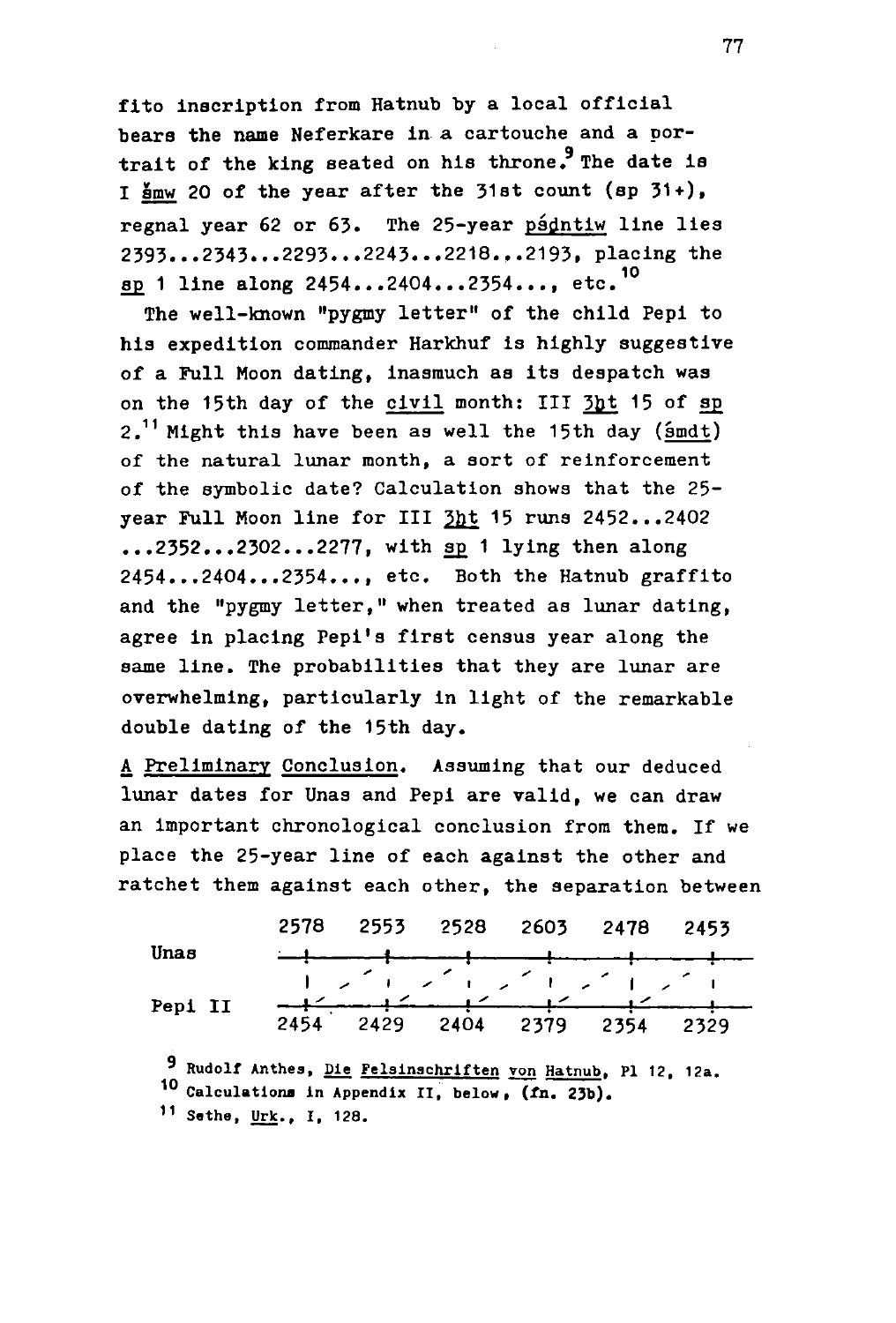fito inscription from Hatnub by a local official bears the name Neferkare in a cartouche and a portrait of the king seated on his throne.<sup>9</sup> The date is I smw 20 of the year after the 31st count (sp  $31+$ ), regnal year 62 or 63. The 25-year psdntiw line lies 2393...2343...2293...2243...2218...2193. placing the ap 1 line along 2454...2404...2354.... etc.<sup>10</sup>

The well-known "pygmy letter" of the child Pepi to his expedition commander Harkhuf is highly suggestive of a Full Moon dating, inasmuch as its despatch was on the 15th day of the civil month: III 3ht 15 of sp  $2.$ <sup>11</sup> Might this have been as well the 15th day (smdt) of the natural lunar month, a sort of reinforcement of the symbolic date? Calculation shows that the 25year Full Moon line for III  $3ht$  15 runs 2452...2402 year Full Moon line for III **2h**\_t **<sup>1</sup> 5** runs 2452...2402  $2454...2404...2354...$ , etc. Both the Hatnub graffito and the "pygmy letter," when treated as lunar dating, agree in placing Pepi's first census year along the agree in placing Pepi's first census year along the same line. The probabilities that they are lunar are overwhelming, particularly in light of the remarkable double dating of the 15th day.

A Preliminary Conclusion. Assuming that our deduced lunar dates for Unas and Pepi are valid, we can draw an Important chronological conclusion from them. If we place the 25-year line of each against the other and ratchet them against each other, the separation between

|         |  | 2578 2553 2528 2603 2478 2453 |  |
|---------|--|-------------------------------|--|
| Unas    |  |                               |  |
|         |  | シブエングエングエング エングエ              |  |
| Pepi II |  |                               |  |
|         |  | 2454 2429 2404 2379 2354 2329 |  |

**' Rudolf Anthes, Die Felalnachrlften von Hatnub. PI 12, 12a. <sup>1</sup> <sup>0</sup> Calculations in Appendix II, below,** *(la.* **23b). <sup>1</sup> <sup>1</sup> Sethe, Urk., I, 128.**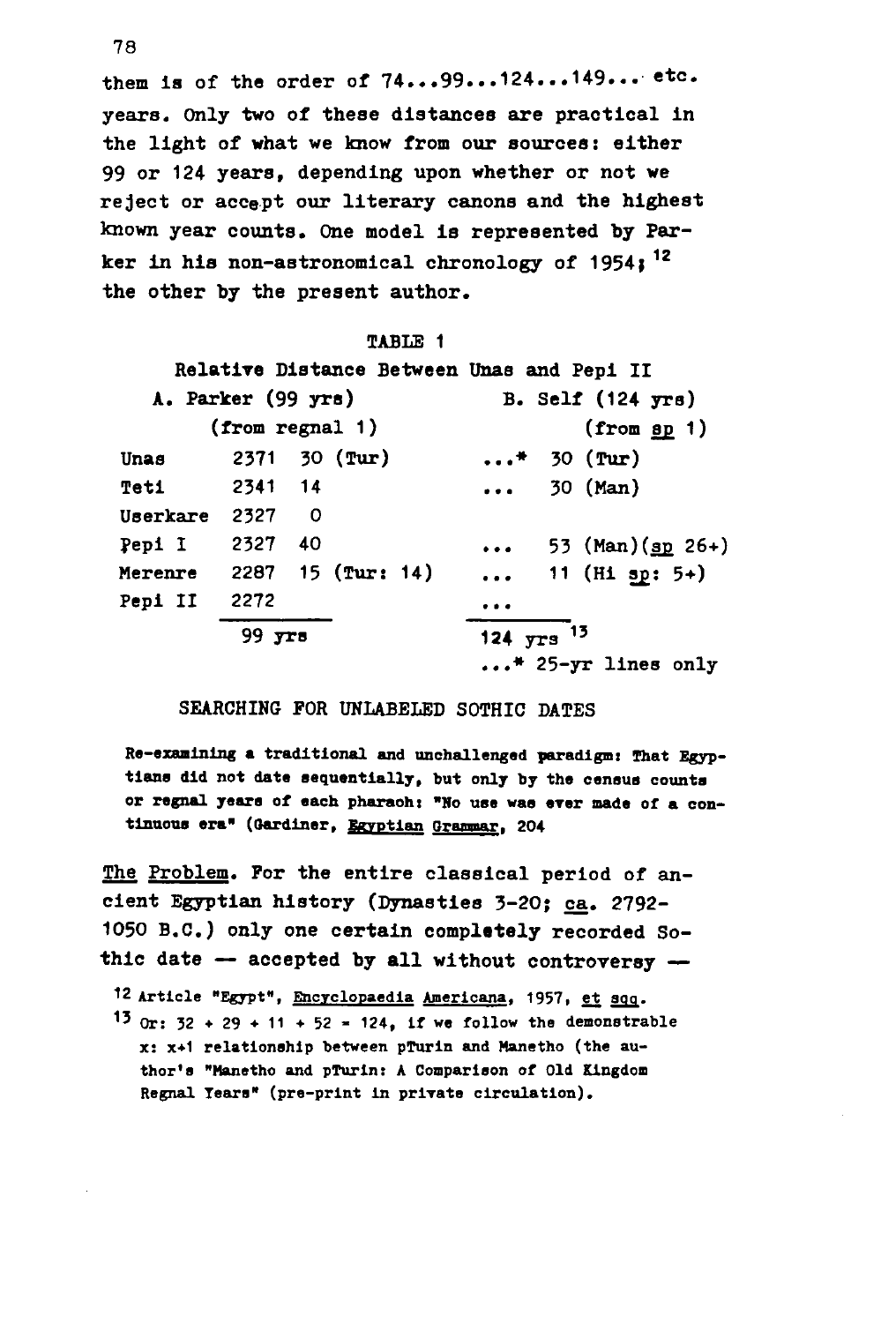them is of the order of  $74...99...124...149...$  etc. years. Only two of these distances are practical in the light of what we know from our sources: either **99** or 124 years, depending upon whether or not we reject or accept our literary canons and the highest known year counts. One model is represented by Parker in his non-astronomical chronology of 1954; " the other by the present author.

|                        |                     |                         |                     |  | Relative Distance Between Unas and Pepi II |  |                             |
|------------------------|---------------------|-------------------------|---------------------|--|--------------------------------------------|--|-----------------------------|
| A. Parker (99 yrs)     |                     |                         |                     |  |                                            |  | B. Self $(124$ yrs)         |
|                        | $(from$ regnal $1)$ |                         |                     |  |                                            |  | (from 9p 1)                 |
| Unas                   |                     |                         | $2371$ 30 (Tur)     |  |                                            |  | $*$ 30 (Tur)                |
| <b>Teti</b>            | 2341 14             |                         |                     |  |                                            |  | $\ldots$ 30 (Man)           |
| Userkare               | 2327                | - 0                     |                     |  |                                            |  |                             |
| Pepi I                 | 2327                | - 40                    |                     |  |                                            |  | 53 (Man) (sp 26+)           |
| Merenre                |                     |                         | $2287$ 15 (Tur: 14) |  |                                            |  | 11 (Hi sp: 5+)              |
| Pepi II                | 2272                |                         |                     |  |                                            |  |                             |
| $99$ $\overline{y}$ rs |                     | 124 $yrs$ <sup>13</sup> |                     |  |                                            |  |                             |
|                        |                     |                         |                     |  |                                            |  | $\ldots$ * 25-yr lines only |

#### SEARCHING FOR UNLABELED SOTHIC DATES

**Re-examining a traditional and unchallenged paradigmi That Egyptians did not date sequentially, but only by the census counts or regnal years of each pharaohi "No use was ever made of a continuous era" (Gardiner, Egyptian Grammar. 204** 

The Problem. For the entire classical period of ancient Egyptian history (Dynasties 3-20; ca. 2792- 1050 B.C.) only one certain completely recorded Sothic date  $\rightarrow$  accepted by all without controversy  $\rightarrow$ 

- **12 Article "Egypt", Encyclopaedia Americana. 1957, et sqq.**
- **13** Or:  $32 + 29 + 11 + 52 = 124$ , if we follow the demonstrable **x: x+1 relationship between pTurin and Manetho (the author's "Hanetho and pTurin: A Comparison of Old Kingdom Regnal Tears" (pre-print In private circulation).**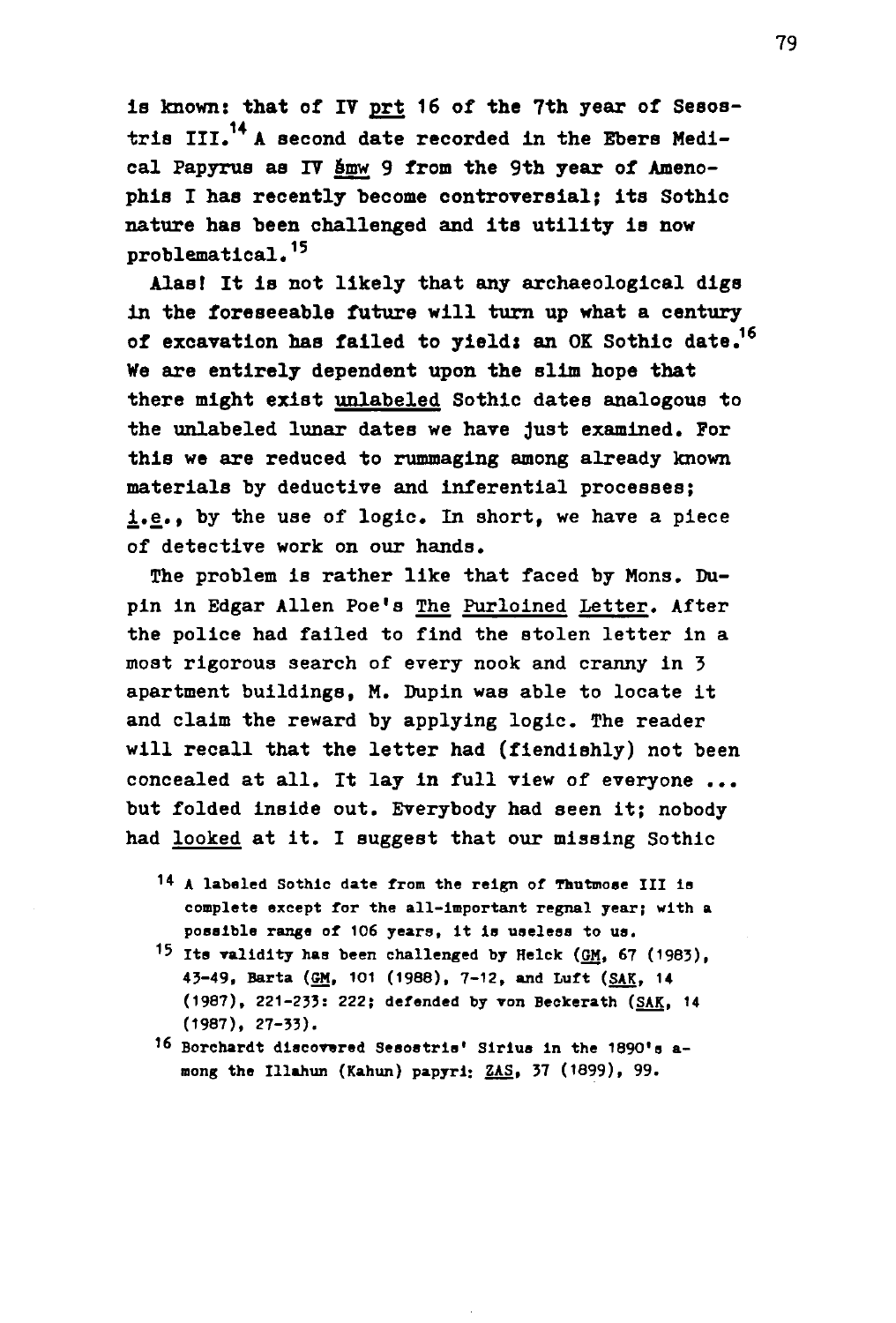is known: that of IY prt 16 of the 7th year of Sesostris  $III.^{14}$  A second date recorded in the Ebers Medical Papyrus as IV Smw 9 from the 9th year of Amenophis I has recently become controversial; its Sothic nature has been challenged and its utility is now problematical.<sup>15</sup>

Alas! It is not likely that any archaeological digs in the foreseeable future will turn up what a century of excavation has failed to yield; an OK Sothic date.<sup>16</sup> We are entirely dependent upon the slim hope that there might exist unlabeled Sothic dates analogous to the unlabeled lunar dates we have Just examined. For this we are reduced to rummaging among already known materials by deductive and inferential processes; i.e., by the use of logic. In short, we have a piece of detective work on our hands.

The problem is rather like that faced by Mons. Dupin in Edgar Allen Poe's The Purloined letter. After the police had failed to find the stolen letter in a most rigorous search of every nook and cranny in 3 apartment buildings, M. Dupin was able to locate it and claim the reward by applying logic. The reader will recall that the letter had (fiendishly) not been concealed at all. It lay in full view of everyone ... but folded inside out. Everybody had seen it; nobody had looked at it. I suggest that our missing Sothic

- **<sup>1</sup> \* A labeled Sothic date from the reign of Thutmose III is complete except for the all-Important regnal year; with a possible range of 106 years, it is useless to us.**
- **<sup>1</sup> <sup>5</sup> Its validity has been challenged by Helck (GM, 67 (1983), 43-49, Barta (GM, 101 (1988), 7-12, and Luft (SAK. 14 (1987), 221-233: 222; defended by von Beckerath (SAK, 14 (1987), 27-33).**
- **<sup>1</sup> 6 Borchardt discovered Sesostrls' Sirlus In the 1890's araong the Illahun (Kahun) papyri;** *ZkS,* **37 (1899), 99.**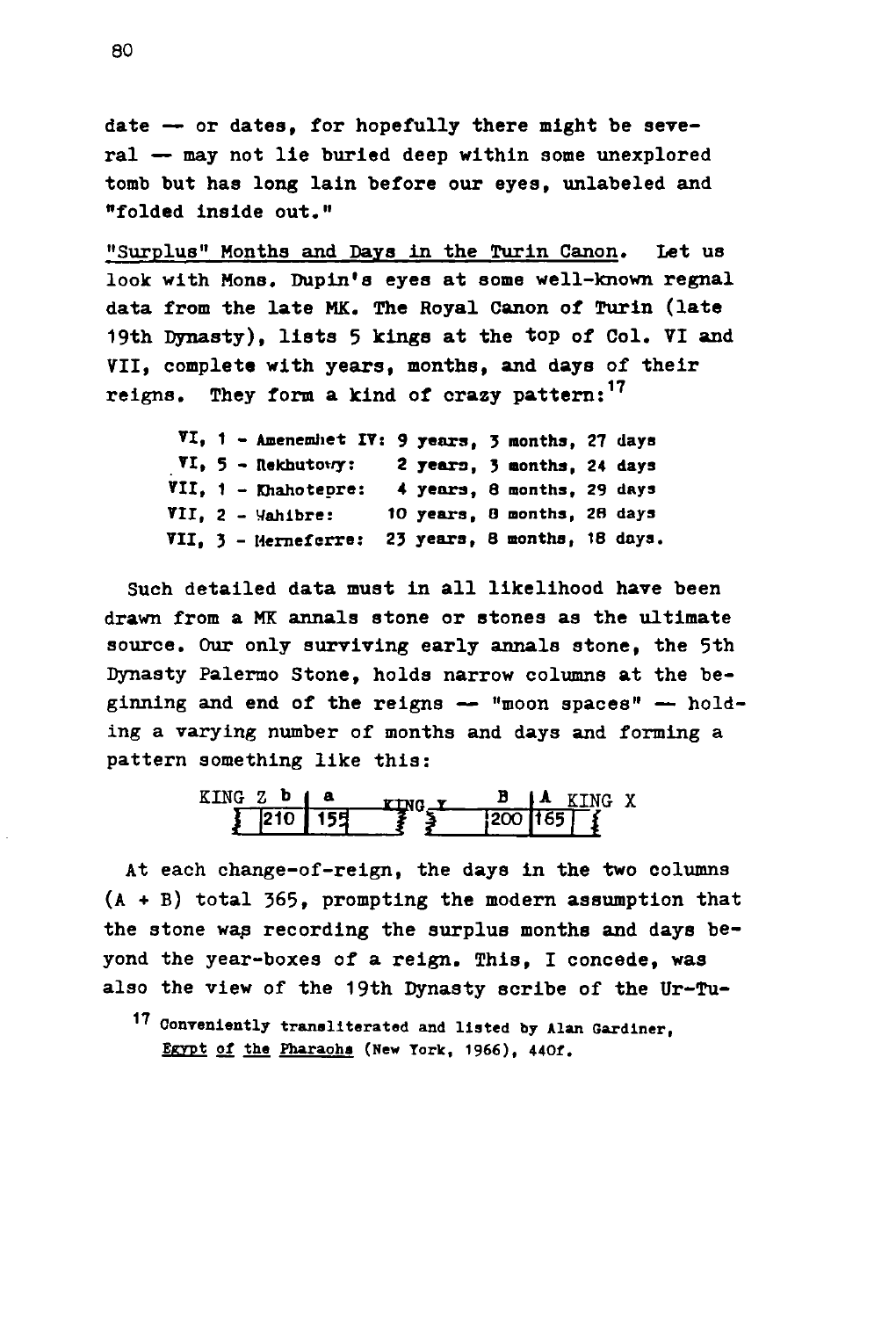date — or dates, for hopefully there might be several — may not lie buried deep within some unexplored tomb but has long lain before our eyes, unlabeled and "folded inside out."

"Surplus" Months and Days in the Turin Canon. let us look with Mons. Dupin's eyes at some well-known regnal data from the late MK. The Royal Canon of Turin (late 19th Dynasty), lists 5 kings at the top of Col. VI and VII, complete with years, months, and days of their **17**  reigns. They form a kind of crazy pattern:

**VI, 1 - Amenemhet IT: 9 years , 3 months, 27 days VI, 5 - nekhutowy: 2 years , 3 months, 24 days VII, 1 - Khahotepre: 4 years , 8 months, 29 days VII, 2 - Vahlbre: 10 years , 0 months, 2S days VII, 3 - Hemeferrs : 23 years , 8 months, 18 days.** 

Such detailed data must in all likelihood have been drawn from a MK annals stone or stones as the ultimate source. Our only surviving early annals stone, the 5th Dynasty Palermo Stone, holds narrow columns at the beginning and end of the reigns — "moon spaces" — holding a varying number of months and days and forming a pattern something like this:

$$
\begin{array}{|c|c|c|c|c|c|c|c|c|}\n\hline\n\text{KING} & \text{B} & \text{A} & \text{KING} & \text{X} \\
\hline\n\end{array}
$$

At each change-of-reign, the days in the two columns  $(A + B)$  total 365, prompting the modern assumption that the stone was recording the surplus months and days beyond the year-boxes of a reign. This, I concede, was also the view of the 19th Dynasty scribe of the Ur-Tu-

17 Conveniently transliterated and listed by Alan Gardiner, Egypt of the Pharaoha (New York, 1966), 440f.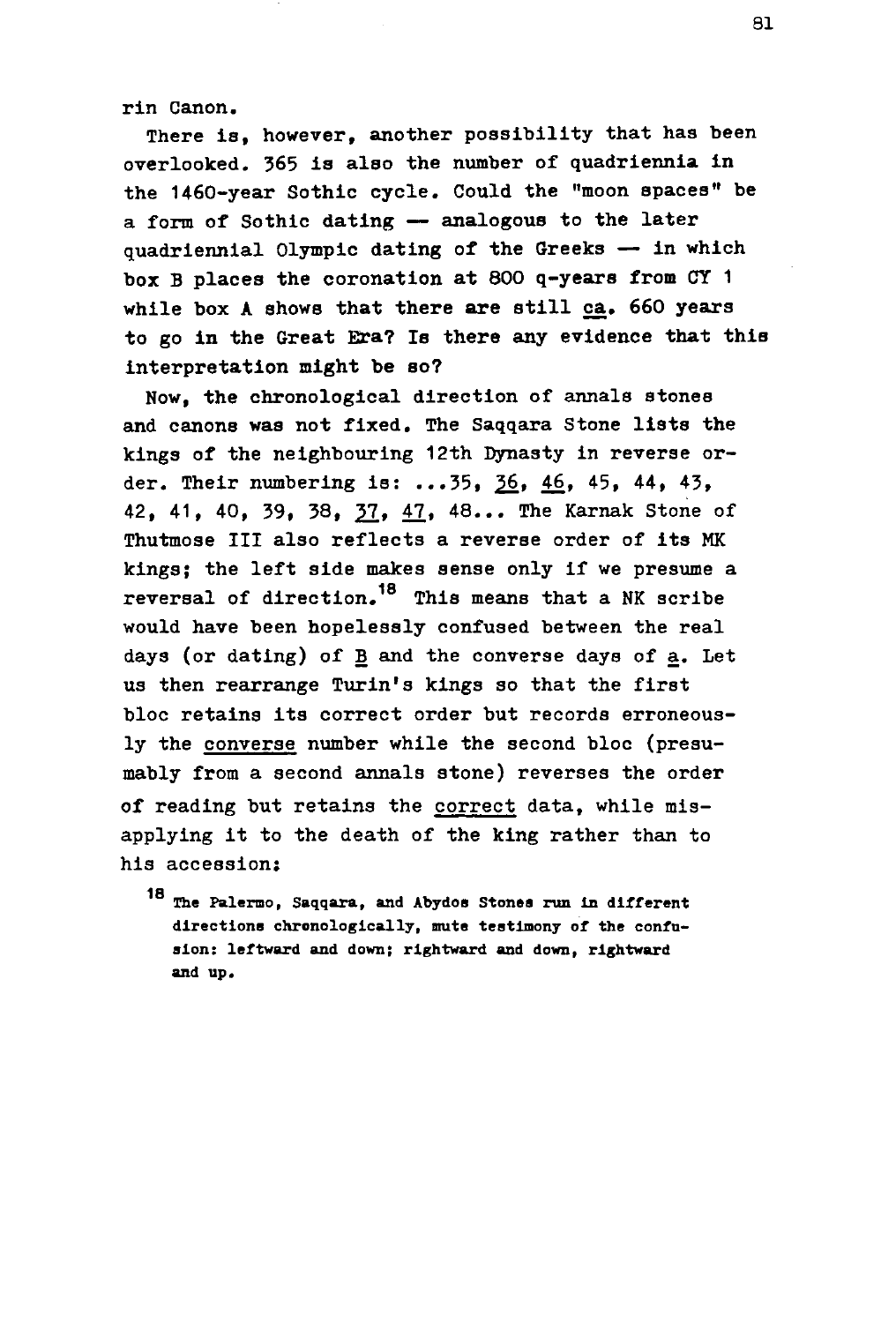rln Canon.

There Is, however, another possibility that has been overlooked. 365 is also the number of quadriennia in the 1460-year Sothic cycle. Could the "moon spaces" be a form of Sothic dating — analogous to the later quadriennial Olympic dating of the Greeks — in which box B places the coronation at 800 q-years from CY 1 while box A shows that there are still ca. 660 years to go in the Great Era? Is there any evidence that this interpretation might be so?

Now, the chronological direction of annals stones and canons was not fixed. The Saqqara Stone lists the kings of the neighbouring 12th Dynasty in reverse order. Their numbering is:  $...35, 36, 46, 45, 44, 43,$ 42, 41, 40, 39, 38, **21,** 47, 48... The Karnak Stone of Thutmose III also reflects a reverse order of its MK kings; the left side makes sense only if we presume a reversal of direction.<sup>18</sup> This means that a NK scribe would have been hopelessly confused between the real days (or dating) of B and the converse days of a. Let us then rearrange Turin's kings so that the first bloc retains its correct order but records erroneously the converse number while the second bloc (presumably from a second annals stone) reverses the order of reading but retains the correct data, while misapplying it to the death of the king rather than to apply in the death of the death of the death of the king rather than to the king rather than to the king rather than to the king rather than to the king rather than to the king rather than to the king rather than to the ki

18 The Palermo. directions chronologically, mute testimony of the confusion: leftward and down; rightward and down, rightward and up.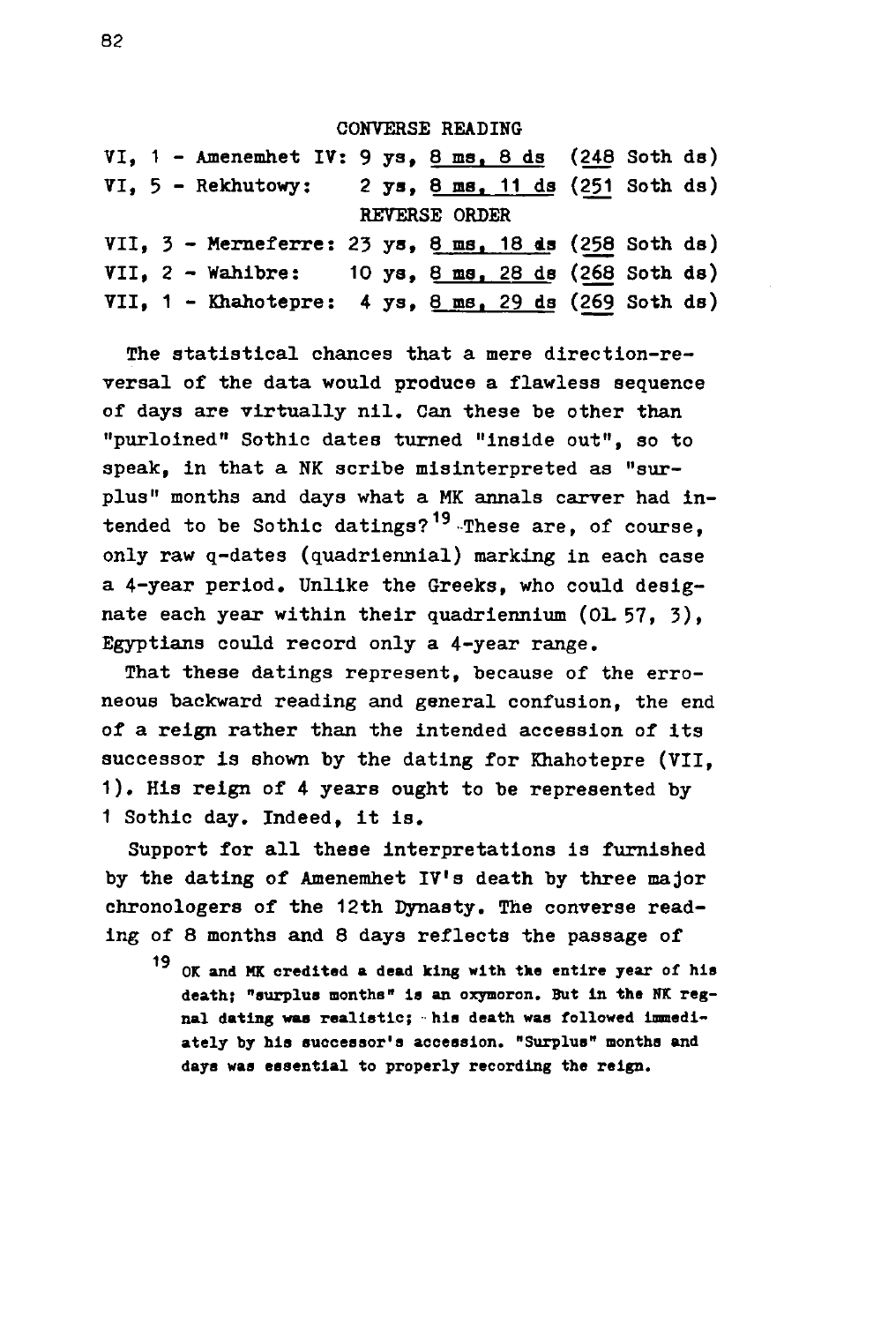#### CONVERSE READING

VI, 1 - Amenemhet IV: 9 ys, 8 ma. 8 ds (248 Soth ds) VI,  $5$  - Rekhutowy: 2 ys,  $8$  ms,  $11$  ds (251 Soth ds) REVERSE ORDER VII, 3 - Merneferre: 23 ys, 8 ma. 18 da (258 Soth da) VII,  $2$  - Wahibre: 10 ys,  $8$  ms,  $28$  ds (268 Soth ds) VII, 1 - Khahotepre: 4 ys, 8 ms. 29 ds (269 Soth ds)

The statistical chances that a mere direction-reversal of the data would produce a flawless sequence of days are virtually nil. Can these be other than "purloined" Sothic dates turned "Inside out", so to speak, in that a NK scribe misinterpreted as "surplus" months and days what a MK annals carver had intended to be Sothic datings?<sup>19</sup> These are, of course, only raw q-dates (quadriennial) marking in each case a 4-year period. Unlike the Greeks, who could designate each year within their quadriennium  $(01.57, 3)$ . Egyptians could record only a 4-year range.

That these datings represent, because of the erroneous backward reading and general confusion, the end of a reign rather than the intended accession of its successor is shown by the dating for Khahotepre (VII, 1). His reign of 4 years ought to be represented by 1 Sothic day. Indeed, it is.

Support for all these interpretations is furnished by the dating of Amenemhet IV's death by three major chronologers of the 12th Dynaaty. The converse reading of 8 months and 8 days reflecta the passage of

<sup>19</sup> OK and MK credited a dead king with the entire year of his death: "surplus months" is an oxymoron. But in the NK regnal dating was realistic; his death was followed immediately by his successor's accession. "Surplus" months and days was essential to properly recording the reign.

**days was essential to properly recording the reign.**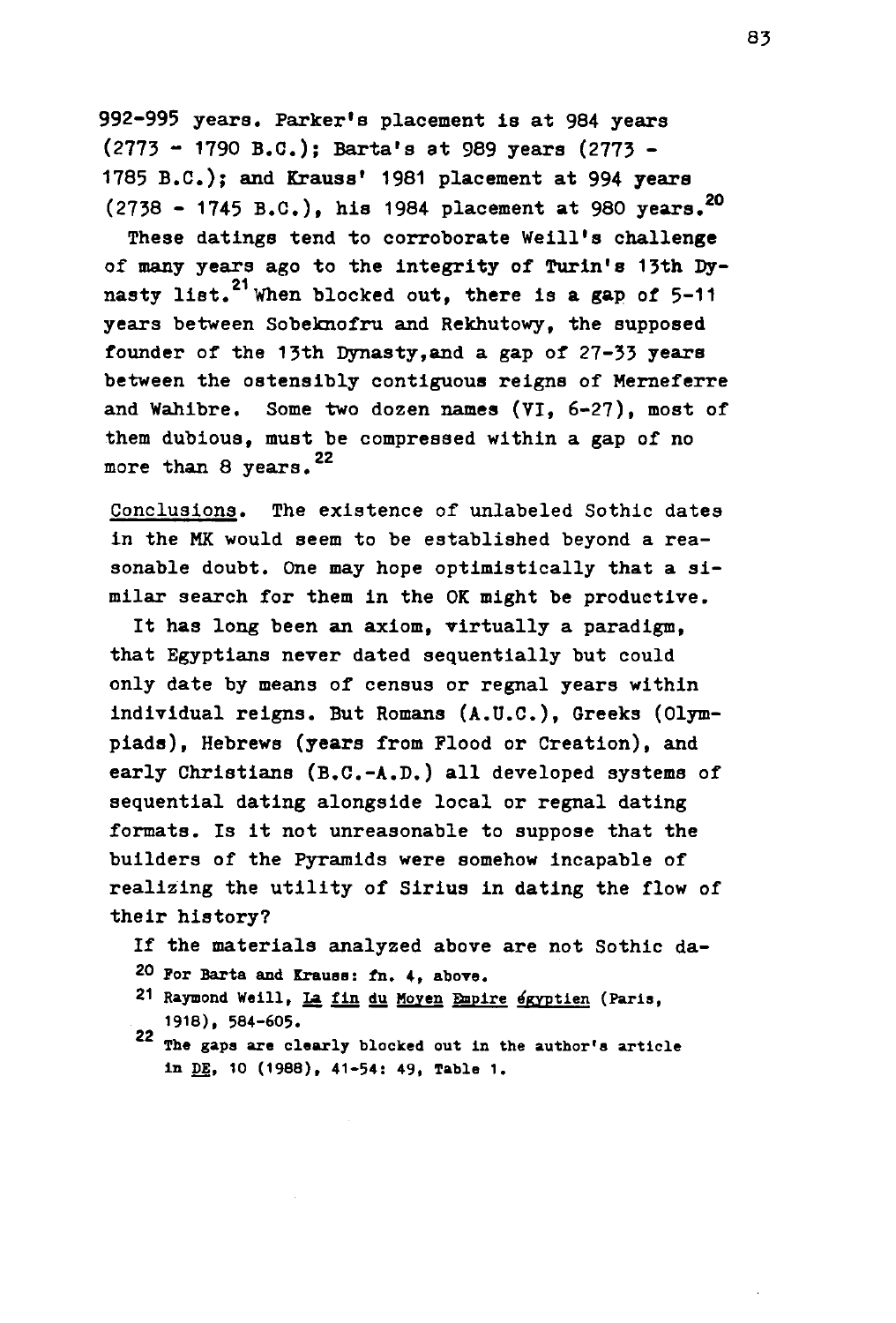**992-995 years. Parker's placement is at 984 years (2773 - 1790 B.C.); Barta's at 989 years (2773 - 1785 B.C.); and Krauss' 1981 placement at 994 years (2738 - 1745 B.C.) , his 1984 placement at 980 years.<sup>2</sup> <sup>0</sup>**

**These datings tend to corroborate Weill's challenge of many years ago to the integrity of Turin's 13th By-21 nasty list. When blocked out, there is a gap of 5-11 years between Sobeknofru and Rekhutowy, the supposed founder of the 13th Dynasty,and a gap of 27-33 years between the ostensibly contiguous reigns of Merneferre and Wahibre. Some two dozen names (VI, 6-27), most of them dubious, must be compressed within a gap of no 22 more than 8 years.** 

**Conclusions. The existence of unlabeled Sothic dates in the MK would seem to be established beyond a reasonable doubt. One may hope optimistically that a similar search for them in the OK might be productive.** 

It has long been an axiom, virtually a paradigm. **that Egyptians never dated sequentially but could only date by means of census or regnal years within individual reigns. But Romans (A.D.C.), Greeks (Olympiads), Hebrews (years from Flood or Creation), and early Christians (B.C.-A.D.) all developed systems of sequential dating alongside local or regnal dating formats. Is it not unreasonable to suppose that the builders of the Pyramids were somehow incapable of realizing the utility of Sirius in dating the flow of their history?** 

- **If the materials analyzed above are not Sothic da-**
- **20** For Barta and Krauss: fn. 4, above.
- **21 Raymond Weill, la fin du Moyen Bnplre egyptien (Paris, 1918), 584-605.**
- 22 The gaps are clearly blocked out in the author's article in DE, 10 (1988), 41-54: 49, Table 1.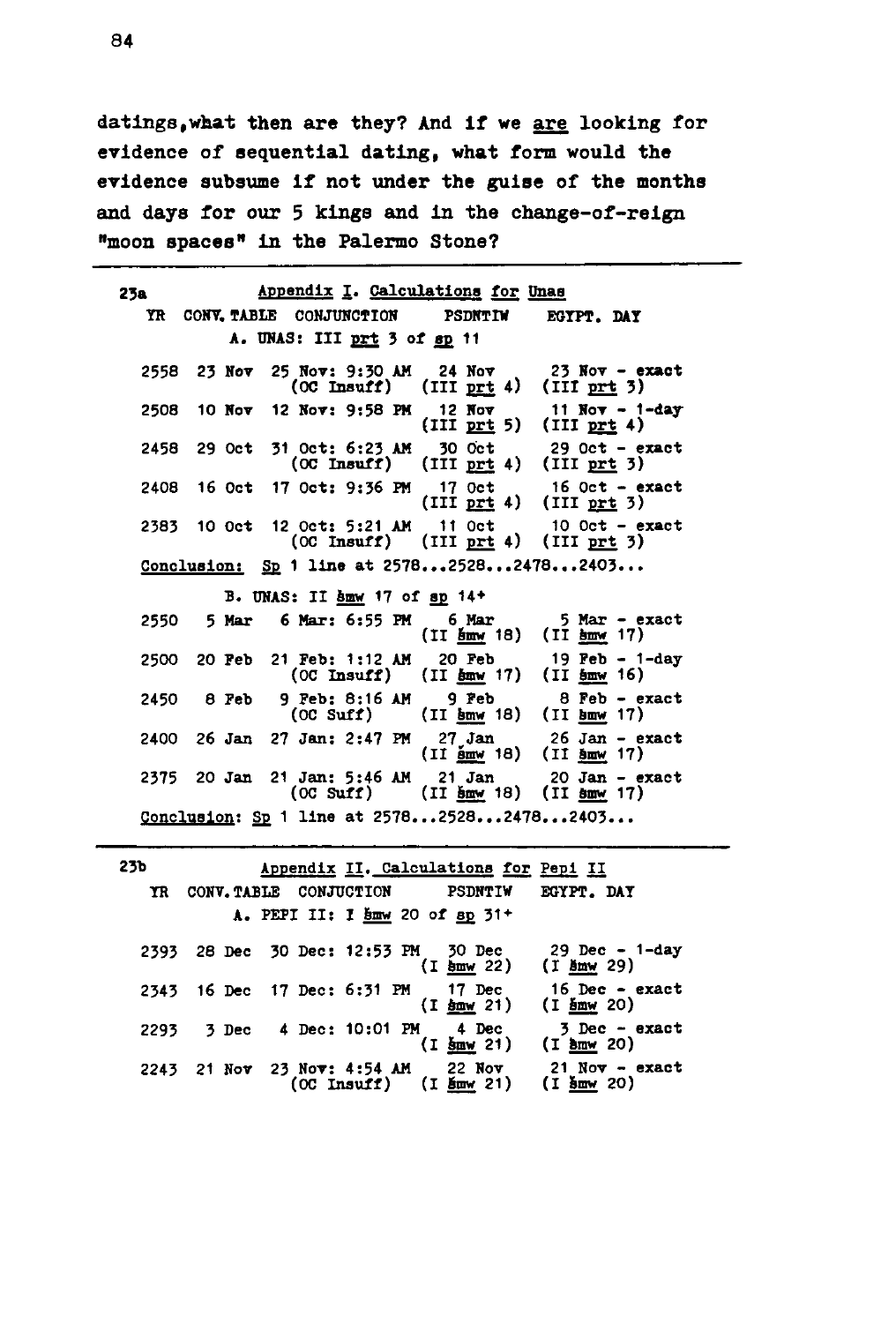datings,what then are they? And if we are looking for evidence of sequential dating, what form would the evidence subsume if not under the guise of the months and days for our 5 kings and in the change-of-reign "moon spaces" in the Palermo Stone?

| Appendix I. Calculations for Unas<br>23a - 1 |                             |                              |                                                                                   |                                                                                                                                          |  |  |  |
|----------------------------------------------|-----------------------------|------------------------------|-----------------------------------------------------------------------------------|------------------------------------------------------------------------------------------------------------------------------------------|--|--|--|
|                                              |                             |                              | YR CONV. TABLE CONJUNCTION PSDNTIW EGYPT. DAY                                     |                                                                                                                                          |  |  |  |
|                                              | A. UNAS: III prt 3 of sp 11 |                              |                                                                                   |                                                                                                                                          |  |  |  |
|                                              |                             |                              | 2558 23 Nov 25 Nov: 9:30 AM 24 Nov<br>$(OC Insuffix)$ $(III prt 4)$ $(III prt 3)$ | $23$ Nov - exact                                                                                                                         |  |  |  |
|                                              |                             |                              | 2508 10 Nov 12 Nov: 9:58 PM 12 Nov                                                | 11 $Now - 1 - day$<br>$(III \text{ prt } 5)$ $(III \text{ prt } 4)$                                                                      |  |  |  |
|                                              | 2458 29 Oct                 |                              | 31 Oct: 6:23 AM 30 Oct                                                            | Oct: 6:23 AM 30 Oct 29 Oct - exact<br>(OC Insuff) (III <u>prt</u> 4) (III prt 3)                                                         |  |  |  |
|                                              |                             |                              |                                                                                   | 2408 16 Oct 17 Oct: 9:36 PM 17 Oct 16 Oct - exact<br>(III prt 4) (III prt 3)                                                             |  |  |  |
|                                              |                             |                              | $(OC Insurf)$ $(III prt 4)$ $(III prt 3)$                                         | 2383 10 Oct 12 Oct: 5:21 AM 11 Oct 10 Oct - exact                                                                                        |  |  |  |
|                                              |                             |                              | Conclusion: Sp 1 line at 2578252824782403                                         |                                                                                                                                          |  |  |  |
|                                              |                             | B. UNAS: II hmw 17 of sp 14+ |                                                                                   |                                                                                                                                          |  |  |  |
|                                              |                             |                              | 2550 5 Mar 6 Mar: 6:55 PM 6 Mar                                                   | $5$ Mar - exact<br>$(II \ 5mm \ 18)$ $(II \ 5mm \ 17)$                                                                                   |  |  |  |
|                                              |                             |                              | $(OC Insuffix)$ $(II 6mw 17)$ $(II 6mw 16)$                                       | 2500 20 Feb 21 Feb: 1:12 AM 20 Feb 19 Feb - 1-day                                                                                        |  |  |  |
|                                              | 2450 8 Feb                  |                              | $(OC Suff)$ $(II 5mw 18)$ $(II 5mw 17)$                                           | 9 Feb: 8:16 AM 9 Feb 8 Feb - exact                                                                                                       |  |  |  |
|                                              |                             |                              |                                                                                   | 2400 26 Jan 27 Jan: 2:47 PM 27 Jan 26 Jan - exact<br>$(II \ \frac{\text{5mW}}{\text{9mW}} 18)$ $(II \ \frac{\text{5mW}}{\text{9mW}} 17)$ |  |  |  |
|                                              |                             |                              | (OC Suff) (II how 18) (II how 17)                                                 | 2375 20 Jan 21 Jan: 5:46 AM 21 Jan 20 Jan - exact                                                                                        |  |  |  |
| Conclusion: Sp 1 line at 2578252824782403    |                             |                              |                                                                                   |                                                                                                                                          |  |  |  |
|                                              |                             |                              |                                                                                   |                                                                                                                                          |  |  |  |

| 23b  |             |                 |                                                                 | Appendix II. Calculations for Pepi II  |                                                        |
|------|-------------|-----------------|-----------------------------------------------------------------|----------------------------------------|--------------------------------------------------------|
| YR   | CONV. TABLE |                 | CONJUCTION                                                      | <b>PSDNTIW</b>                         | EGYPT. DAY                                             |
|      |             |                 | A. PEPI II: I $\frac{5}{2}$ 20 of $\frac{8}{2}$ 31 <sup>+</sup> |                                        |                                                        |
| 2393 | 28 Dec      |                 |                                                                 | 30 Dec: 12:53 PM 30 Dec<br>(I home 22) | 29 Dec - 1-day (I $\frac{5 \text{mW}}{29}$ 29)         |
| 2343 | 16 Dec      | 17 Dec: 6:31 PM |                                                                 | 17 Dec<br>$(I \n5mv 21)$               | $16$ Dec - exact<br>$(I$ smw 20)                       |
| 2293 | 3 Dec       |                 | 4 Dec: 10:01 PM                                                 | 4 Dec<br>$(1 \text{ km} 21)$           | $3$ Dec - exact<br>$(I \frac{\text{b}m}{\text{w}} 20)$ |
| 2243 | $21$ Nov    | 23 Nov: 4:54 AM | $(OC Insurf)$ $(I \nvert Mm21)$                                 | 22 Nov                                 | $21$ Nov - exact<br>(I šmw 20)                         |